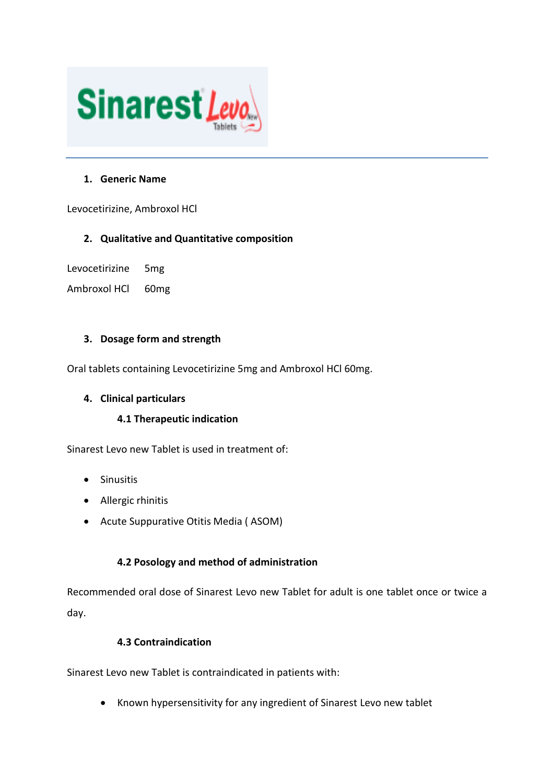

### **1. Generic Name**

Levocetirizine, Ambroxol HCl

### **2. Qualitative and Quantitative composition**

Levocetirizine 5mg

Ambroxol HCl 60mg

### **3. Dosage form and strength**

Oral tablets containing Levocetirizine 5mg and Ambroxol HCl 60mg.

### **4. Clinical particulars**

### **4.1 Therapeutic indication**

Sinarest Levo new Tablet is used in treatment of:

- Sinusitis
- Allergic rhinitis
- Acute Suppurative Otitis Media ( ASOM)

### **4.2 Posology and method of administration**

Recommended oral dose of Sinarest Levo new Tablet for adult is one tablet once or twice a day.

### **4.3 Contraindication**

Sinarest Levo new Tablet is contraindicated in patients with:

• Known hypersensitivity for any ingredient of Sinarest Levo new tablet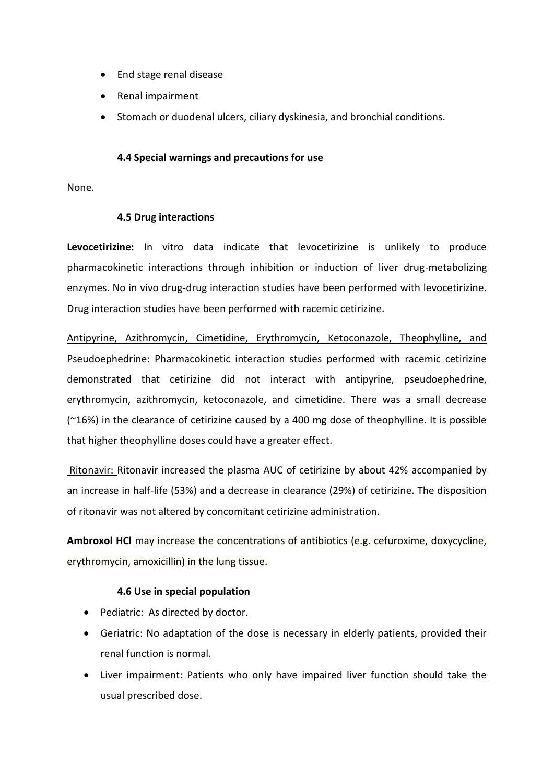- End stage renal disease
- Renal impairment
- Stomach or duodenal ulcers, ciliary dyskinesia, and bronchial conditions.

#### **4.4 Special warnings and precautions for use**

None.

#### **4.5 Drug interactions**

**Levocetirizine:** In vitro data indicate that levocetirizine is unlikely to produce pharmacokinetic interactions through inhibition or induction of liver drug-metabolizing enzymes. No in vivo drug-drug interaction studies have been performed with levocetirizine. Drug interaction studies have been performed with racemic cetirizine.

Antipyrine, Azithromycin, Cimetidine, Erythromycin, Ketoconazole, Theophylline, and Pseudoephedrine: Pharmacokinetic interaction studies performed with racemic cetirizine demonstrated that cetirizine did not interact with antipyrine, pseudoephedrine, erythromycin, azithromycin, ketoconazole, and cimetidine. There was a small decrease (~16%) in the clearance of cetirizine caused by a 400 mg dose of theophylline. It is possible that higher theophylline doses could have a greater effect.

Ritonavir: Ritonavir increased the plasma AUC of cetirizine by about 42% accompanied by an increase in half-life (53%) and a decrease in clearance (29%) of cetirizine. The disposition of ritonavir was not altered by concomitant cetirizine administration.

**Ambroxol HCl** may increase the concentrations of antibiotics (e.g. cefuroxime, doxycycline, erythromycin, amoxicillin) in the lung tissue.

#### **4.6 Use in special population**

- Pediatric: As directed by doctor.
- Geriatric: No adaptation of the dose is necessary in elderly patients, provided their renal function is normal.
- Liver impairment: Patients who only have impaired liver function should take the usual prescribed dose.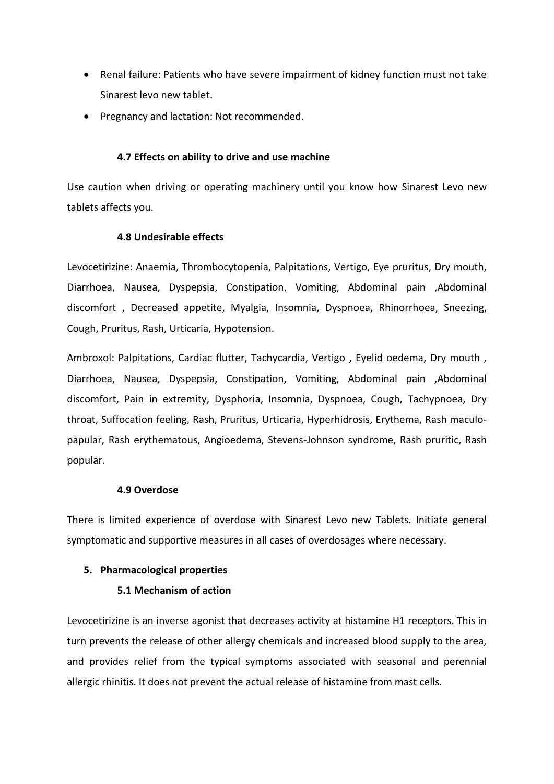- Renal failure: Patients who have severe impairment of kidney function must not take Sinarest levo new tablet.
- Pregnancy and lactation: Not recommended.

### **4.7 Effects on ability to drive and use machine**

Use caution when driving or operating machinery until you know how Sinarest Levo new tablets affects you.

### **4.8 Undesirable effects**

Levocetirizine: Anaemia, Thrombocytopenia, Palpitations, Vertigo, Eye pruritus, Dry mouth, Diarrhoea, Nausea, Dyspepsia, Constipation, Vomiting, Abdominal pain ,Abdominal discomfort , Decreased appetite, Myalgia, Insomnia, Dyspnoea, Rhinorrhoea, Sneezing, Cough, Pruritus, Rash, Urticaria, Hypotension.

Ambroxol: Palpitations, Cardiac flutter, Tachycardia, Vertigo , Eyelid oedema, Dry mouth , Diarrhoea, Nausea, Dyspepsia, Constipation, Vomiting, Abdominal pain ,Abdominal discomfort, Pain in extremity, Dysphoria, Insomnia, Dyspnoea, Cough, Tachypnoea, Dry throat, Suffocation feeling, Rash, Pruritus, Urticaria, Hyperhidrosis, Erythema, Rash maculopapular, Rash erythematous, Angioedema, Stevens-Johnson syndrome, Rash pruritic, Rash popular.

#### **4.9 Overdose**

There is limited experience of overdose with Sinarest Levo new Tablets. Initiate general symptomatic and supportive measures in all cases of overdosages where necessary.

#### **5. Pharmacological properties**

#### **5.1 Mechanism of action**

Levocetirizine is an inverse agonist that decreases activity at histamine H1 receptors. This in turn prevents the release of other allergy chemicals and increased blood supply to the area, and provides relief from the typical symptoms associated with seasonal and perennial allergic rhinitis. It does not prevent the actual release of histamine from mast cells.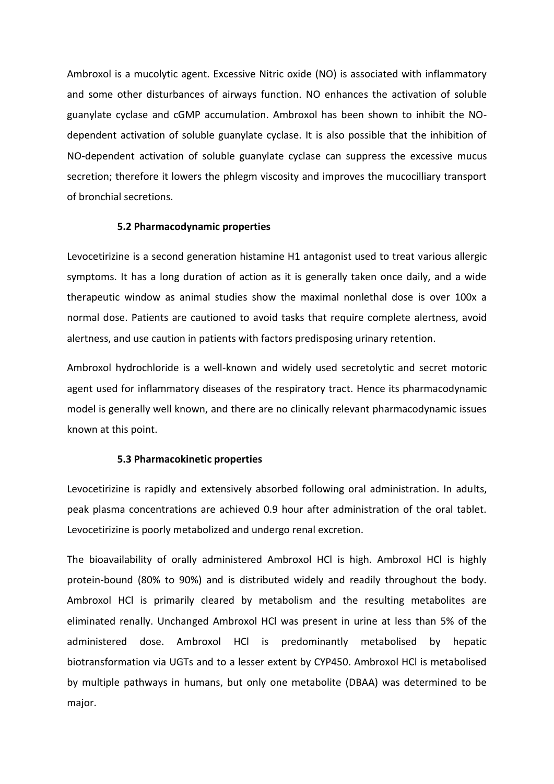Ambroxol is a mucolytic agent. Excessive Nitric oxide (NO) is associated with inflammatory and some other disturbances of airways function. NO enhances the activation of soluble guanylate cyclase and cGMP accumulation. Ambroxol has been shown to inhibit the NOdependent activation of soluble guanylate cyclase. It is also possible that the inhibition of NO-dependent activation of soluble guanylate cyclase can suppress the excessive mucus secretion; therefore it lowers the phlegm viscosity and improves the mucocilliary transport of bronchial secretions.

#### **5.2 Pharmacodynamic properties**

Levocetirizine is a second generation histamine H1 antagonist used to treat various allergic symptoms. It has a long duration of action as it is generally taken once daily, and a wide therapeutic window as animal studies show the maximal nonlethal dose is over 100x a normal dose. Patients are cautioned to avoid tasks that require complete alertness, avoid alertness, and use caution in patients with factors predisposing urinary retention.

Ambroxol hydrochloride is a well-known and widely used secretolytic and secret motoric agent used for inflammatory diseases of the respiratory tract. Hence its pharmacodynamic model is generally well known, and there are no clinically relevant pharmacodynamic issues known at this point.

#### **5.3 Pharmacokinetic properties**

Levocetirizine is rapidly and extensively absorbed following oral administration. In adults, peak plasma concentrations are achieved 0.9 hour after administration of the oral tablet. Levocetirizine is poorly metabolized and undergo renal excretion.

The bioavailability of orally administered Ambroxol HCl is high. Ambroxol HCl is highly protein-bound (80% to 90%) and is distributed widely and readily throughout the body. Ambroxol HCl is primarily cleared by metabolism and the resulting metabolites are eliminated renally. Unchanged Ambroxol HCl was present in urine at less than 5% of the administered dose. Ambroxol HCl is predominantly metabolised by hepatic biotransformation via UGTs and to a lesser extent by CYP450. Ambroxol HCl is metabolised by multiple pathways in humans, but only one metabolite (DBAA) was determined to be major.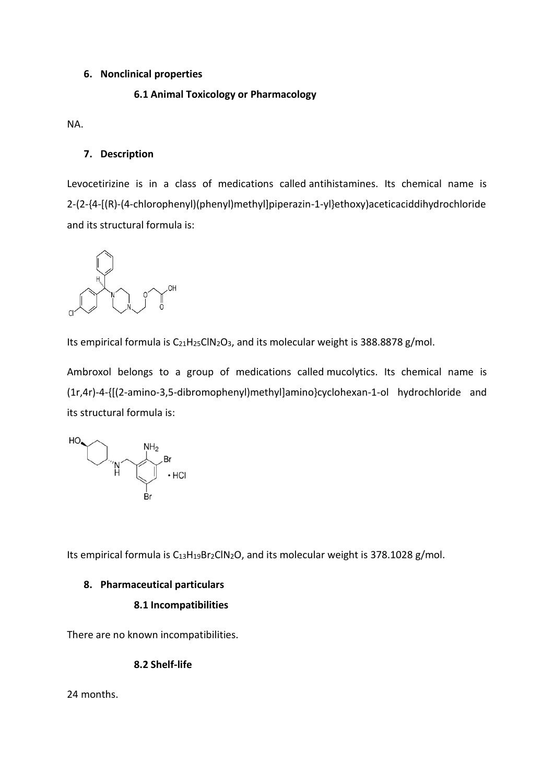### **6. Nonclinical properties**

## **6.1 Animal Toxicology or Pharmacology**

NA.

## **7. Description**

Levocetirizine is in a class of medications called antihistamines. Its chemical name is 2-(2-{4-[(R)-(4-chlorophenyl)(phenyl)methyl]piperazin-1-yl}ethoxy)aceticaciddihydrochloride and its structural formula is:



Its empirical formula is  $C_{21}H_{25}CIN_2O_3$ , and its molecular weight is 388.8878 g/mol.

Ambroxol belongs to a group of medications called mucolytics. Its chemical name is (1r,4r)-4-{[(2-amino-3,5-dibromophenyl)methyl]amino}cyclohexan-1-ol hydrochloride and its structural formula is:



Its empirical formula is  $C_{13}H_{19}Br_2CIN_2O$ , and its molecular weight is 378.1028 g/mol.

### **8. Pharmaceutical particulars**

### **8.1 Incompatibilities**

There are no known incompatibilities.

### **8.2 Shelf-life**

24 months.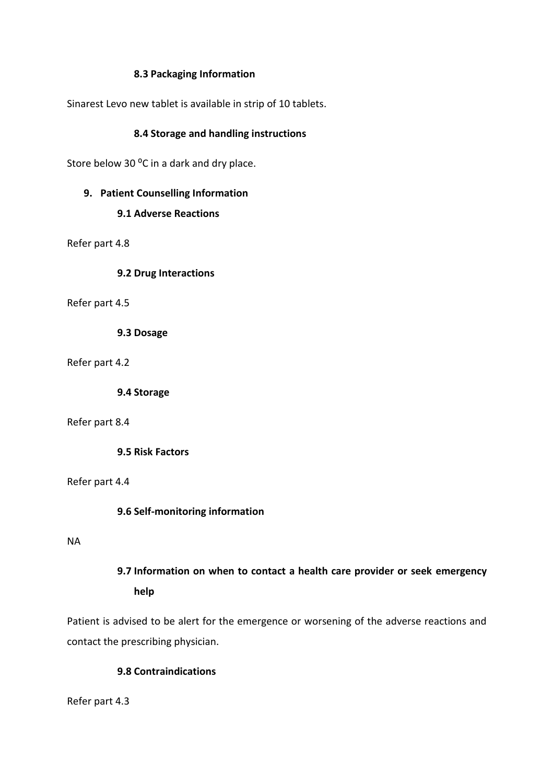### **8.3 Packaging Information**

Sinarest Levo new tablet is available in strip of 10 tablets.

### **8.4 Storage and handling instructions**

Store below 30 °C in a dark and dry place.

### **9. Patient Counselling Information**

### **9.1 Adverse Reactions**

Refer part 4.8

**9.2 Drug Interactions**

Refer part 4.5

**9.3 Dosage**

Refer part 4.2

**9.4 Storage**

#### Refer part 8.4

**9.5 Risk Factors**

Refer part 4.4

#### **9.6 Self-monitoring information**

#### NA

# **9.7 Information on when to contact a health care provider or seek emergency help**

Patient is advised to be alert for the emergence or worsening of the adverse reactions and contact the prescribing physician.

### **9.8 Contraindications**

Refer part 4.3